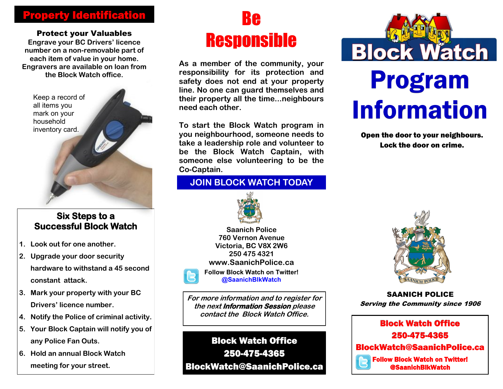## Property Identification

Protect your Valuables

**Engrave your BC Drivers' licence number on a non-removable part of each item of value in your home. Engravers are available on loan from** 



### **Six Steps to a Successful Block Watch**

- **1. Look out for one another.**
- **2. Upgrade your door security hardware to withstand a 45 second constant attack.**
- **3. Mark your property with your BC Drivers' licence number.**
- **4. Notify the Police of criminal activity.**
- **5. Your Block Captain will notify you of any Police Fan Outs.**
- **6. Hold an annual Block Watch meeting for your street.**

# Be Responsible

**As a member of the community, your responsibility for its protection and safety does not end at your property line. No one can guard themselves and their property all the time...neighbours need each other.** the Block Watch office.<br>
safety does not end at your property<br>
line No one can quard themselves and<br>
line No one can quard themselves and

> **To start the Block Watch program in you neighbourhood, someone needs to take a leadership role and volunteer to be the Block Watch Captain, with someone else volunteering to be the Co-Captain.**

## **JOIN BLOCK WATCH TODAY**



**Saanich Police 760 Vernon Avenue Victoria, BC V8X 2W6 250 475 4321 www.SaanichPolice.ca Follow Block Watch on Twitter! @SaanichBlkWatch**

**For more information and to register for the next Information Session please contact the Block Watch Office.**

Block Watch Office 250-475-4365 BlockWatch@SaanichPolice.ca



Open the door to your neighbours. Lock the door on crime.



SAANICH POLICE Serving the Community since 1906

Block Watch Office 250-475-4365 BlockWatch@SaanichPolice.ca Follow Block Watch on Twitter! @SaanichBlkWatch